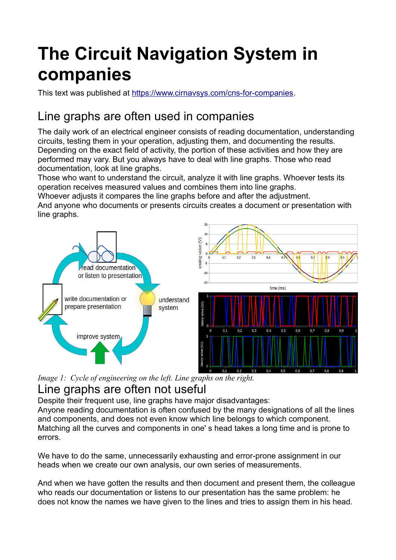# **The Circuit Navigation System in companies**

This text was published at [https://www.cirnavsys.com/cns-for-companies.](https://www.cirnavsys.com/cns-for-companies)

## Line graphs are often used in companies

The daily work of an electrical engineer consists of reading documentation, understanding circuits, testing them in your operation, adjusting them, and documenting the results. Depending on the exact field of activity, the portion of these activities and how they are performed may vary. But you always have to deal with line graphs. Those who read documentation, look at line graphs.

Those who want to understand the circuit, analyze it with line graphs. Whoever tests its operation receives measured values and combines them into line graphs. Whoever adjusts it compares the line graphs before and after the adjustment. And anyone who documents or presents circuits creates a document or presentation with line graphs.



*Image 1: Cycle of engineering on the left. Line graphs on the right.*

#### Line graphs are often not useful

Despite their frequent use, line graphs have major disadvantages:

Anyone reading documentation is often confused by the many designations of all the lines and components, and does not even know which line belongs to which component. Matching all the curves and components in one' s head takes a long time and is prone to errors.

We have to do the same, unnecessarily exhausting and error-prone assignment in our heads when we create our own analysis, our own series of measurements.

And when we have gotten the results and then document and present them, the colleague who reads our documentation or listens to our presentation has the same problem: he does not know the names we have given to the lines and tries to assign them in his head.